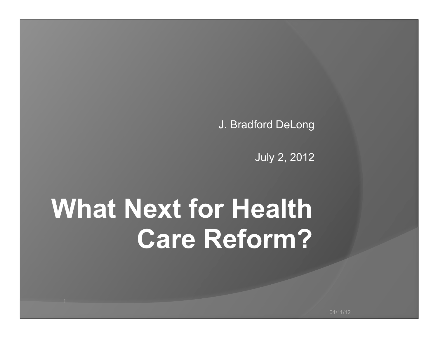J. Bradford DeLong

July 2, 2012

## **What Next for Health Care Reform?**

04/11/12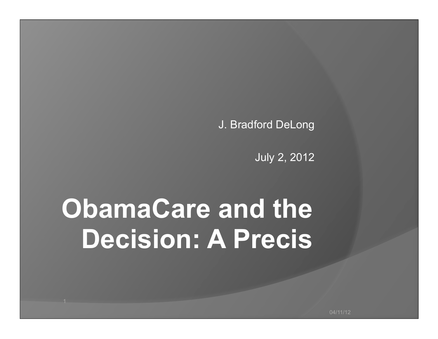J. Bradford DeLong

July 2, 2012

## **ObamaCare and the Decision: A Precis**

04/11/12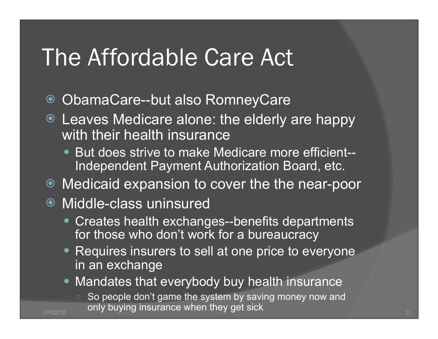#### The Affordable Care Act

- ObamaCare--but also RomneyCare
- Leaves Medicare alone: the elderly are happy with their health insurance
	- But does strive to make Medicare more efficient-- Independent Payment Authorization Board, etc.
- Medicaid expansion to cover the the near-poor

#### ● Middle-class uninsured

- Creates health exchanges--benefits departments for those who don't work for a bureaucracy
- Requires insurers to sell at one price to everyone in an exchange
- Mandates that everybody buy health insurance
- So people don't game the system by saving money now and  $\frac{1}{07/02/12}$  only buying insurance when they get sick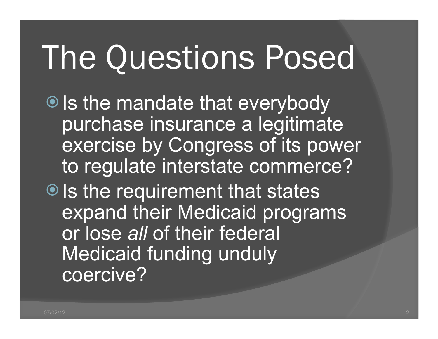# The Questions Posed

● Is the mandate that everybody purchase insurance a legitimate exercise by Congress of its power to regulate interstate commerce?  $\bullet$  Is the requirement that states expand their Medicaid programs or lose *all* of their federal Medicaid funding unduly coercive?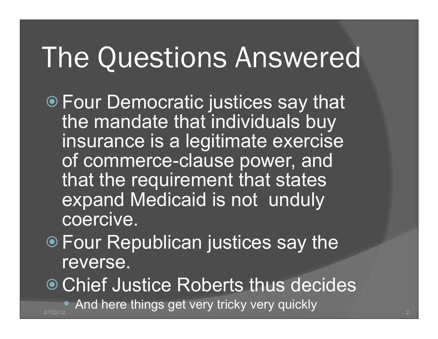## The Questions Answered

- Four Democratic justices say that the mandate that individuals buy insurance is a legitimate exercise of commerce-clause power, and that the requirement that states expand Medicaid is not unduly coercive.
- Four Republican justices say the reverse.

● Chief Justice Roberts thus decides

 $\bullet$  And here things get very tricky very quickly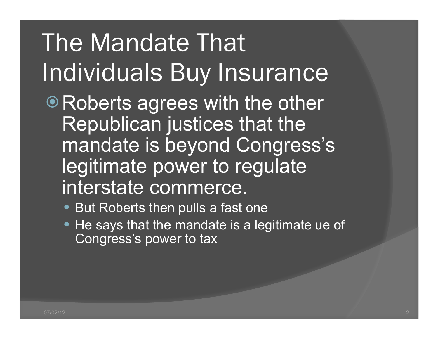## The Mandate That Individuals Buy Insurance

- Roberts agrees with the other Republican justices that the mandate is beyond Congress's legitimate power to regulate interstate commerce.
	- But Roberts then pulls a fast one
	- He says that the mandate is a legitimate ue of Congress's power to tax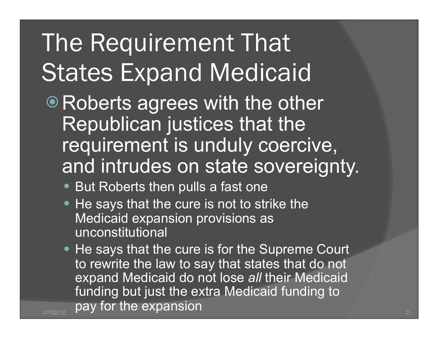### The Requirement That States Expand Medicaid

- Roberts agrees with the other Republican justices that the requirement is unduly coercive, and intrudes on state sovereignty.
	- But Roberts then pulls a fast one
	- He says that the cure is not to strike the Medicaid expansion provisions as unconstitutional
- He says that the cure is for the Supreme Court to rewrite the law to say that states that do not expand Medicaid do not lose *all* their Medicaid funding but just the extra Medicaid funding to  $\frac{1}{07/02/12}$  pay for the expansion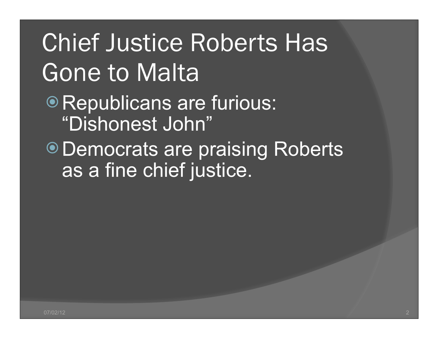Chief Justice Roberts Has Gone to Malta • Republicans are furious: "Dishonest John" Democrats are praising Roberts as a fine chief justice.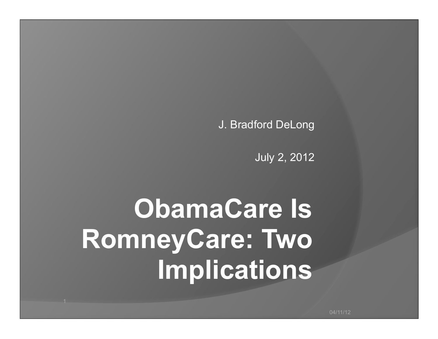J. Bradford DeLong

July 2, 2012

## **ObamaCare Is RomneyCare: Two Implications**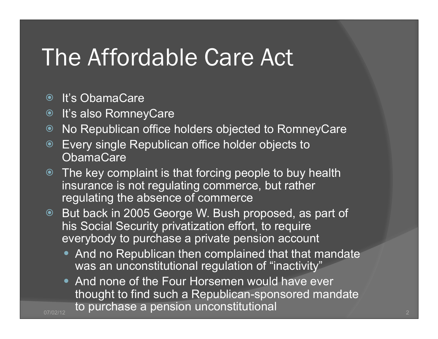#### The Affordable Care Act

- It's ObamaCare
- It's also RomneyCare
- No Republican office holders objected to RomneyCare
- Every single Republican office holder objects to **ObamaCare**
- The key complaint is that forcing people to buy health insurance is not regulating commerce, but rather regulating the absence of commerce
- But back in 2005 George W. Bush proposed, as part of his Social Security privatization effort, to require everybody to purchase a private pension account
	- And no Republican then complained that that mandate was an unconstitutional regulation of "inactivity"
- And none of the Four Horsemen would have ever thought to find such a Republican-sponsored mandate  $\frac{1}{07/02/12}$  to purchase a pension unconstitutional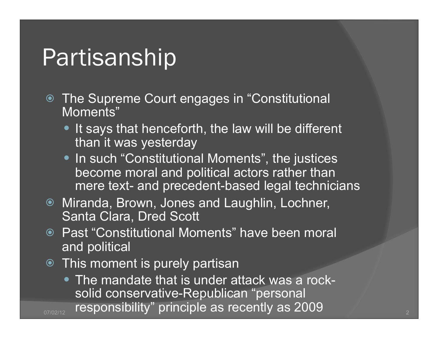#### Partisanship

- The Supreme Court engages in "Constitutional Moments"
	- It says that henceforth, the law will be different than it was yesterday
	- In such "Constitutional Moments", the justices become moral and political actors rather than mere text- and precedent-based legal technicians
- Miranda, Brown, Jones and Laughlin, Lochner, Santa Clara, Dred Scott
- Past "Constitutional Moments" have been moral and political
- This moment is purely partisan
- The mandate that is under attack was a rocksolid conservative-Republican "personal <sub>07/02/12</sub> responsibility" principle as recently as 2009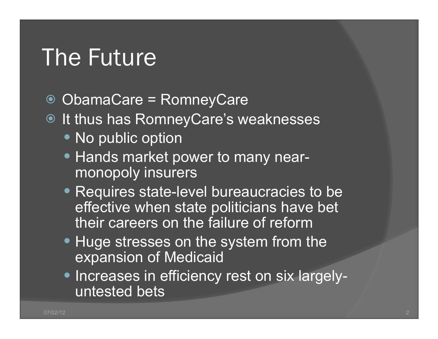#### The Future

- ObamaCare = RomneyCare
- $\bullet$  It thus has RomneyCare's weaknesses
	- No public option
	- Hands market power to many nearmonopoly insurers
	- Requires state-level bureaucracies to be effective when state politicians have bet their careers on the failure of reform
	- Huge stresses on the system from the expansion of Medicaid
	- **.** Increases in efficiency rest on six largelyuntested bets